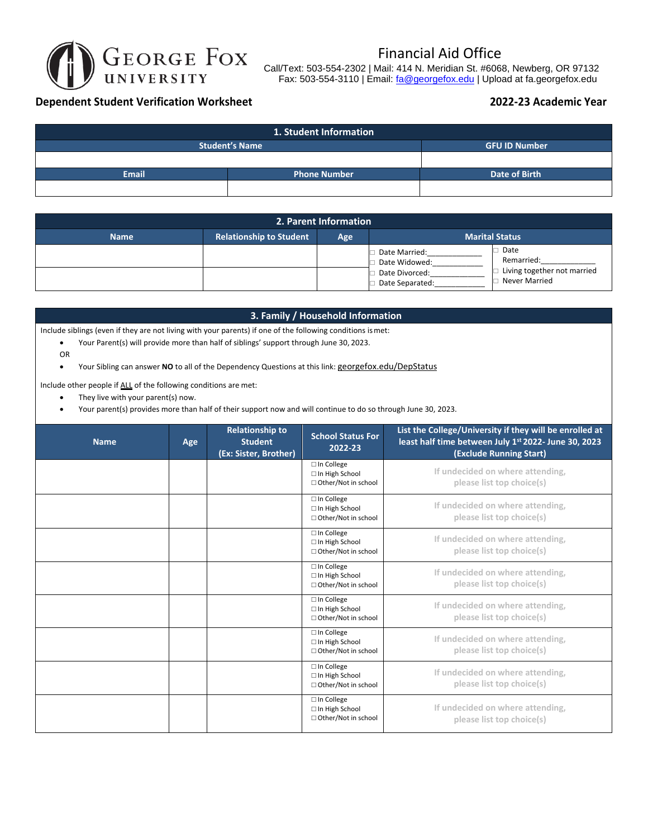

## Financial Aid Office

Call/Text: 503-554-2302 | Mail: 414 N. Meridian St. #6068, Newberg, OR 97132 Fax: 503-554-3110 | Email: [fa@georgefox.edu](mailto:fa@georgefox.edu) | Upload at fa.georgefox.edu

## **Dependent Student Verification Worksheet 2022-23 Academic Year**

| 1. Student Information              |  |                      |  |
|-------------------------------------|--|----------------------|--|
| <b>Student's Name</b>               |  | <b>GFU ID Number</b> |  |
|                                     |  |                      |  |
| <b>Email</b><br><b>Phone Number</b> |  | Date of Birth        |  |
|                                     |  |                      |  |

| 2. Parent Information |                                |     |                                   |                                              |
|-----------------------|--------------------------------|-----|-----------------------------------|----------------------------------------------|
| <b>Name</b>           | <b>Relationship to Student</b> | Age |                                   | <b>Marital Status</b>                        |
|                       |                                |     | Date Married:<br>Date Widowed:    | Date<br>Remarried:                           |
|                       |                                |     | Date Divorced:<br>Date Separated: | Living together not married<br>Never Married |

## **3. Family / Household Information**

Include siblings (even if they are not living with your parents) if one of the following conditions ismet:

- Your Parent(s) will provide more than half of siblings' support through June 30, 2023.
- OR

• Your Sibling can answer **NO** to all of the Dependency Questions at this link: [georgefox.edu/DepStatus](https://www.georgefox.edu/offices/financial-aid/files/dependency-status.png)

Include other people if ALL of the following conditions are met:

- They live with your parent(s) now.
- Your parent(s) provides more than half of their support now and will continue to do so through June 30, 2023.

| <b>Name</b> | Age | <b>Relationship to</b><br><b>Student</b><br>(Ex: Sister, Brother) | <b>School Status For</b><br>2022-23                                 | List the College/University if they will be enrolled at<br>least half time between July 1st 2022- June 30, 2023<br>(Exclude Running Start) |
|-------------|-----|-------------------------------------------------------------------|---------------------------------------------------------------------|--------------------------------------------------------------------------------------------------------------------------------------------|
|             |     |                                                                   | $\Box$ In College<br>$\Box$ In High School<br>□ Other/Not in school | If undecided on where attending,<br>please list top choice(s)                                                                              |
|             |     |                                                                   | $\Box$ In College<br>$\Box$ In High School<br>□ Other/Not in school | If undecided on where attending,<br>please list top choice(s)                                                                              |
|             |     |                                                                   | $\Box$ In College<br>□ In High School<br>□ Other/Not in school      | If undecided on where attending,<br>please list top choice(s)                                                                              |
|             |     |                                                                   | $\Box$ In College<br>$\Box$ In High School<br>□ Other/Not in school | If undecided on where attending,<br>please list top choice(s)                                                                              |
|             |     |                                                                   | $\Box$ In College<br>$\Box$ In High School<br>□ Other/Not in school | If undecided on where attending,<br>please list top choice(s)                                                                              |
|             |     |                                                                   | $\Box$ In College<br>$\Box$ In High School<br>□ Other/Not in school | If undecided on where attending,<br>please list top choice(s)                                                                              |
|             |     |                                                                   | $\Box$ In College<br>$\Box$ In High School<br>□ Other/Not in school | If undecided on where attending,<br>please list top choice(s)                                                                              |
|             |     |                                                                   | $\Box$ In College<br>$\Box$ In High School<br>□ Other/Not in school | If undecided on where attending,<br>please list top choice(s)                                                                              |